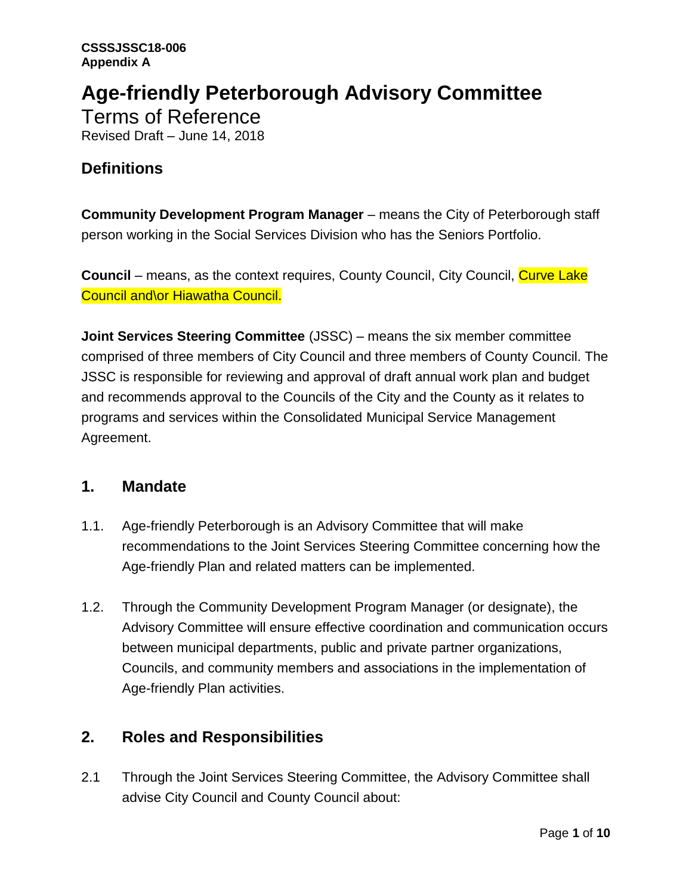# **Age-friendly Peterborough Advisory Committee**

Terms of Reference Revised Draft – June 14, 2018

# **Definitions**

**Community Development Program Manager** – means the City of Peterborough staff person working in the Social Services Division who has the Seniors Portfolio.

**Council** – means, as the context requires, County Council, City Council, Curve Lake Council and\or Hiawatha Council.

**Joint Services Steering Committee** (JSSC) – means the six member committee comprised of three members of City Council and three members of County Council. The JSSC is responsible for reviewing and approval of draft annual work plan and budget and recommends approval to the Councils of the City and the County as it relates to programs and services within the Consolidated Municipal Service Management Agreement.

## **1. Mandate**

- 1.1. Age-friendly Peterborough is an Advisory Committee that will make recommendations to the Joint Services Steering Committee concerning how the Age-friendly Plan and related matters can be implemented.
- 1.2. Through the Community Development Program Manager (or designate), the Advisory Committee will ensure effective coordination and communication occurs between municipal departments, public and private partner organizations, Councils, and community members and associations in the implementation of Age-friendly Plan activities.

# **2. Roles and Responsibilities**

2.1 Through the Joint Services Steering Committee, the Advisory Committee shall advise City Council and County Council about: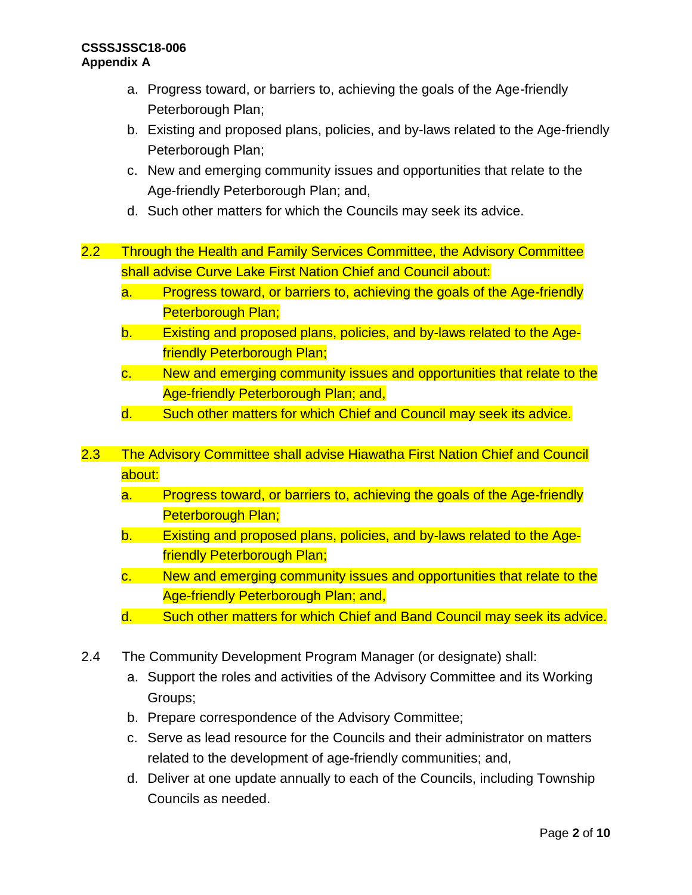- a. Progress toward, or barriers to, achieving the goals of the Age-friendly Peterborough Plan;
- b. Existing and proposed plans, policies, and by-laws related to the Age-friendly Peterborough Plan;
- c. New and emerging community issues and opportunities that relate to the Age-friendly Peterborough Plan; and,
- d. Such other matters for which the Councils may seek its advice.
- 2.2 Through the Health and Family Services Committee, the Advisory Committee shall advise Curve Lake First Nation Chief and Council about:
	- a. Progress toward, or barriers to, achieving the goals of the Age-friendly Peterborough Plan;
	- b. Existing and proposed plans, policies, and by-laws related to the Agefriendly Peterborough Plan;
	- c. New and emerging community issues and opportunities that relate to the Age-friendly Peterborough Plan; and,
	- d. Such other matters for which Chief and Council may seek its advice.
- 2.3 The Advisory Committee shall advise Hiawatha First Nation Chief and Council about:
	- a. Progress toward, or barriers to, achieving the goals of the Age-friendly Peterborough Plan;
	- b. Existing and proposed plans, policies, and by-laws related to the Agefriendly Peterborough Plan;
	- c. New and emerging community issues and opportunities that relate to the Age-friendly Peterborough Plan; and,
	- d. Such other matters for which Chief and Band Council may seek its advice.
- 2.4 The Community Development Program Manager (or designate) shall:
	- a. Support the roles and activities of the Advisory Committee and its Working Groups;
	- b. Prepare correspondence of the Advisory Committee;
	- c. Serve as lead resource for the Councils and their administrator on matters related to the development of age-friendly communities; and,
	- d. Deliver at one update annually to each of the Councils, including Township Councils as needed.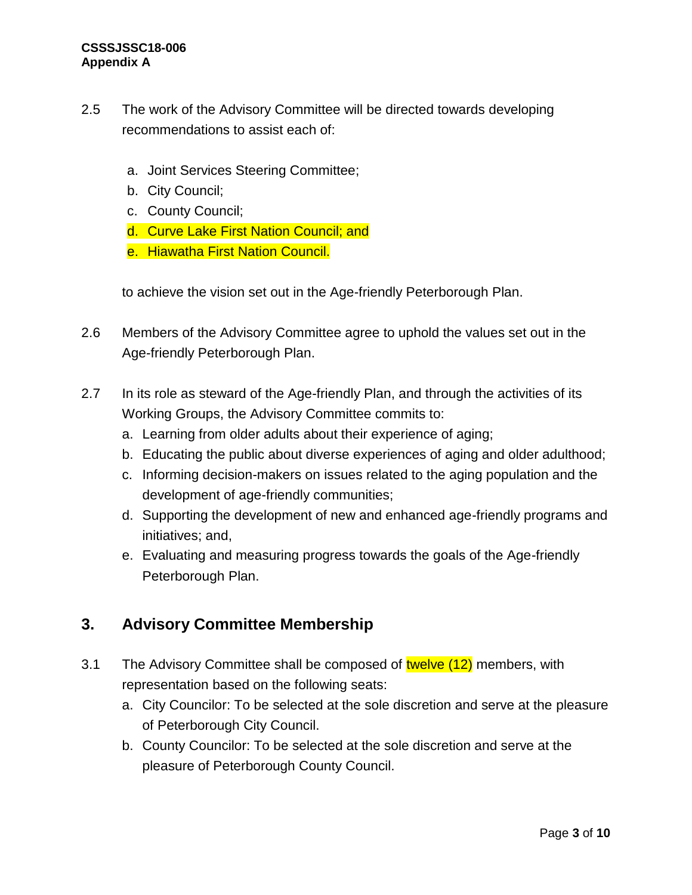- 2.5 The work of the Advisory Committee will be directed towards developing recommendations to assist each of:
	- a. Joint Services Steering Committee;
	- b. City Council;
	- c. County Council;
	- d. Curve Lake First Nation Council; and
	- e. Hiawatha First Nation Council.

to achieve the vision set out in the Age-friendly Peterborough Plan.

- 2.6 Members of the Advisory Committee agree to uphold the values set out in the Age-friendly Peterborough Plan.
- 2.7 In its role as steward of the Age-friendly Plan, and through the activities of its Working Groups, the Advisory Committee commits to:
	- a. Learning from older adults about their experience of aging;
	- b. Educating the public about diverse experiences of aging and older adulthood;
	- c. Informing decision-makers on issues related to the aging population and the development of age-friendly communities;
	- d. Supporting the development of new and enhanced age-friendly programs and initiatives; and,
	- e. Evaluating and measuring progress towards the goals of the Age-friendly Peterborough Plan.

# **3. Advisory Committee Membership**

- 3.1 The Advisory Committee shall be composed of twelve (12) members, with representation based on the following seats:
	- a. City Councilor: To be selected at the sole discretion and serve at the pleasure of Peterborough City Council.
	- b. County Councilor: To be selected at the sole discretion and serve at the pleasure of Peterborough County Council.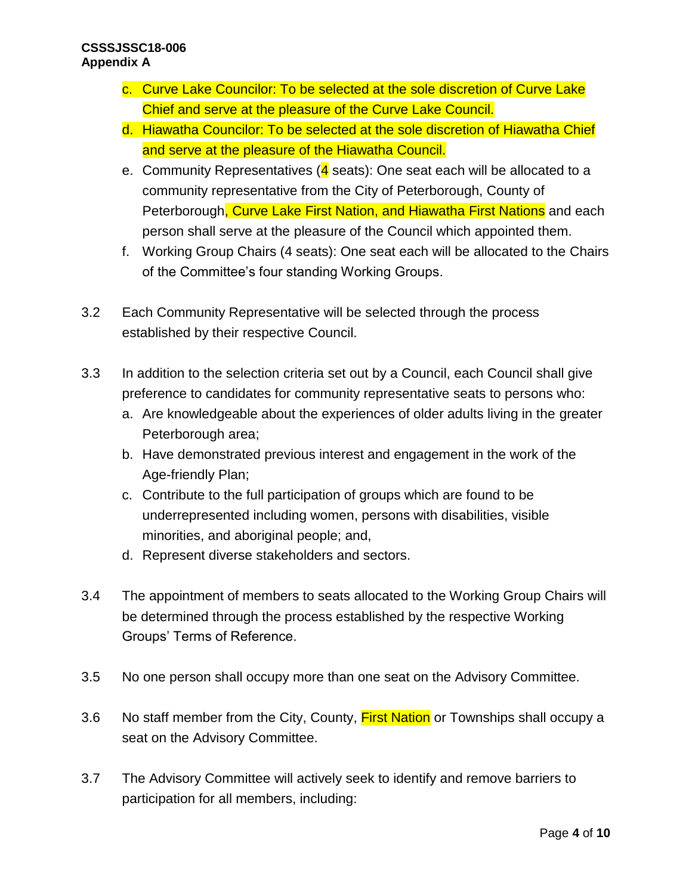- c. Curve Lake Councilor: To be selected at the sole discretion of Curve Lake Chief and serve at the pleasure of the Curve Lake Council.
- d. Hiawatha Councilor: To be selected at the sole discretion of Hiawatha Chief and serve at the pleasure of the Hiawatha Council.
- e. Community Representatives ( $\frac{4}{9}$  seats): One seat each will be allocated to a community representative from the City of Peterborough, County of Peterborough, Curve Lake First Nation, and Hiawatha First Nations and each person shall serve at the pleasure of the Council which appointed them.
- f. Working Group Chairs (4 seats): One seat each will be allocated to the Chairs of the Committee's four standing Working Groups.
- 3.2 Each Community Representative will be selected through the process established by their respective Council.
- 3.3 In addition to the selection criteria set out by a Council, each Council shall give preference to candidates for community representative seats to persons who:
	- a. Are knowledgeable about the experiences of older adults living in the greater Peterborough area;
	- b. Have demonstrated previous interest and engagement in the work of the Age-friendly Plan;
	- c. Contribute to the full participation of groups which are found to be underrepresented including women, persons with disabilities, visible minorities, and aboriginal people; and,
	- d. Represent diverse stakeholders and sectors.
- 3.4 The appointment of members to seats allocated to the Working Group Chairs will be determined through the process established by the respective Working Groups' Terms of Reference.
- 3.5 No one person shall occupy more than one seat on the Advisory Committee.
- 3.6 No staff member from the City, County, First Nation or Townships shall occupy a seat on the Advisory Committee.
- 3.7 The Advisory Committee will actively seek to identify and remove barriers to participation for all members, including: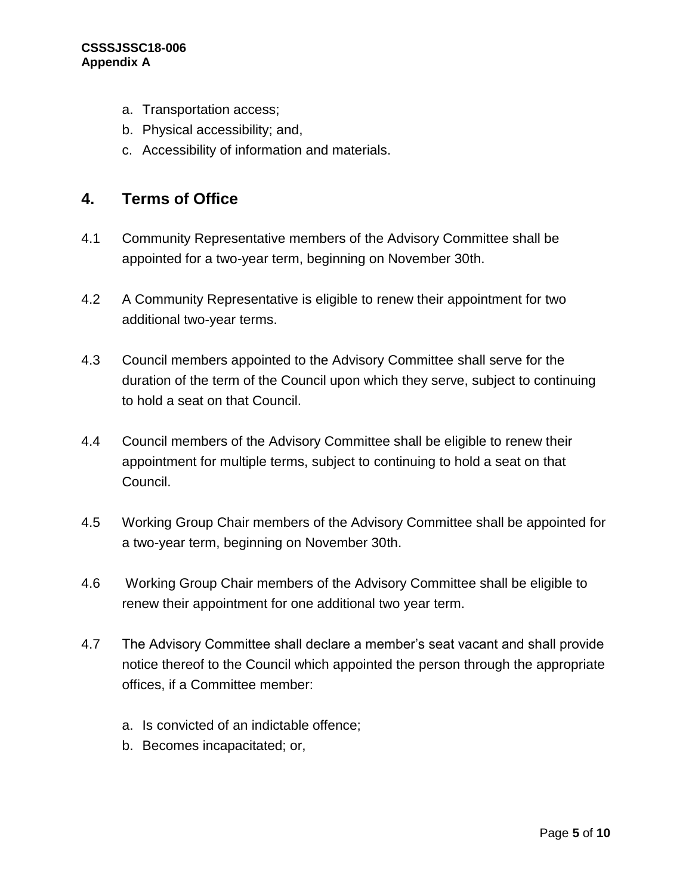- a. Transportation access;
- b. Physical accessibility; and,
- c. Accessibility of information and materials.

#### **4. Terms of Office**

- 4.1 Community Representative members of the Advisory Committee shall be appointed for a two-year term, beginning on November 30th.
- 4.2 A Community Representative is eligible to renew their appointment for two additional two-year terms.
- 4.3 Council members appointed to the Advisory Committee shall serve for the duration of the term of the Council upon which they serve, subject to continuing to hold a seat on that Council.
- 4.4 Council members of the Advisory Committee shall be eligible to renew their appointment for multiple terms, subject to continuing to hold a seat on that Council.
- 4.5 Working Group Chair members of the Advisory Committee shall be appointed for a two-year term, beginning on November 30th.
- 4.6 Working Group Chair members of the Advisory Committee shall be eligible to renew their appointment for one additional two year term.
- 4.7 The Advisory Committee shall declare a member's seat vacant and shall provide notice thereof to the Council which appointed the person through the appropriate offices, if a Committee member:
	- a. Is convicted of an indictable offence;
	- b. Becomes incapacitated; or,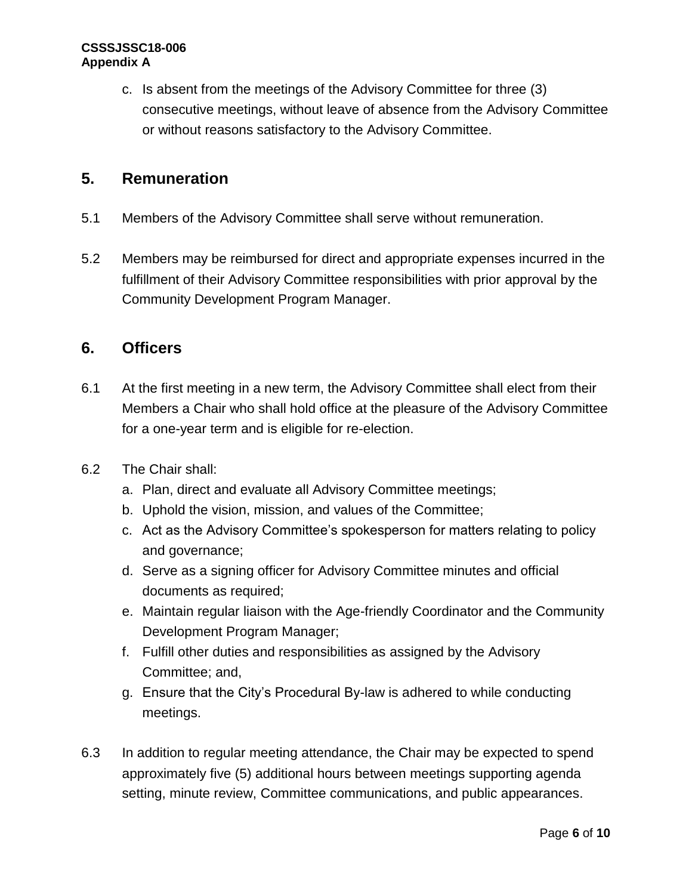c. Is absent from the meetings of the Advisory Committee for three (3) consecutive meetings, without leave of absence from the Advisory Committee or without reasons satisfactory to the Advisory Committee.

# **5. Remuneration**

- 5.1 Members of the Advisory Committee shall serve without remuneration.
- 5.2 Members may be reimbursed for direct and appropriate expenses incurred in the fulfillment of their Advisory Committee responsibilities with prior approval by the Community Development Program Manager.

### **6. Officers**

- 6.1 At the first meeting in a new term, the Advisory Committee shall elect from their Members a Chair who shall hold office at the pleasure of the Advisory Committee for a one-year term and is eligible for re-election.
- 6.2 The Chair shall:
	- a. Plan, direct and evaluate all Advisory Committee meetings;
	- b. Uphold the vision, mission, and values of the Committee;
	- c. Act as the Advisory Committee's spokesperson for matters relating to policy and governance;
	- d. Serve as a signing officer for Advisory Committee minutes and official documents as required;
	- e. Maintain regular liaison with the Age-friendly Coordinator and the Community Development Program Manager;
	- f. Fulfill other duties and responsibilities as assigned by the Advisory Committee; and,
	- g. Ensure that the City's Procedural By-law is adhered to while conducting meetings.
- 6.3 In addition to regular meeting attendance, the Chair may be expected to spend approximately five (5) additional hours between meetings supporting agenda setting, minute review, Committee communications, and public appearances.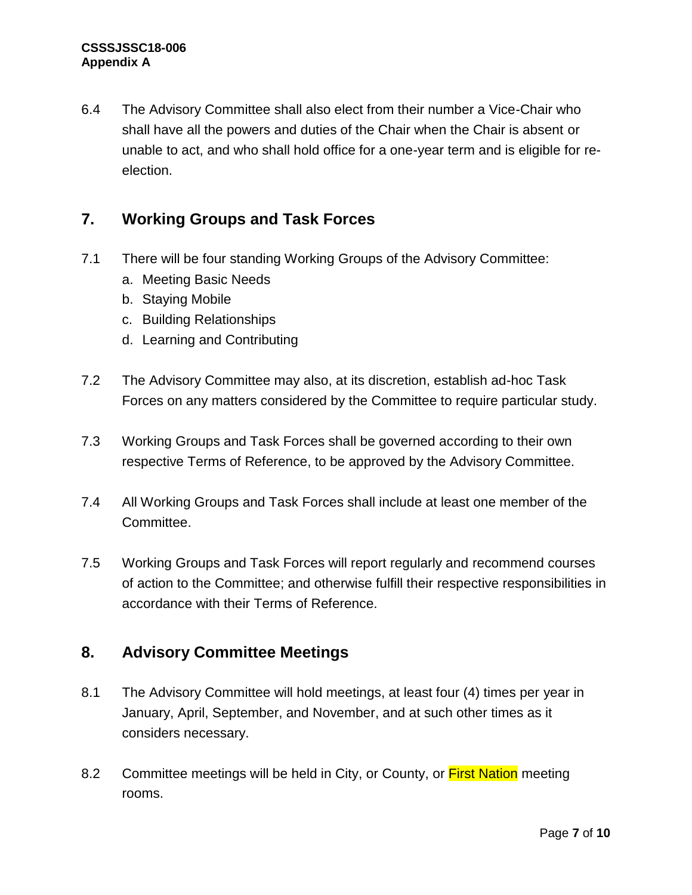6.4 The Advisory Committee shall also elect from their number a Vice-Chair who shall have all the powers and duties of the Chair when the Chair is absent or unable to act, and who shall hold office for a one-year term and is eligible for reelection.

# **7. Working Groups and Task Forces**

- 7.1 There will be four standing Working Groups of the Advisory Committee:
	- a. Meeting Basic Needs
	- b. Staying Mobile
	- c. Building Relationships
	- d. Learning and Contributing
- 7.2 The Advisory Committee may also, at its discretion, establish ad-hoc Task Forces on any matters considered by the Committee to require particular study.
- 7.3 Working Groups and Task Forces shall be governed according to their own respective Terms of Reference, to be approved by the Advisory Committee.
- 7.4 All Working Groups and Task Forces shall include at least one member of the Committee.
- 7.5 Working Groups and Task Forces will report regularly and recommend courses of action to the Committee; and otherwise fulfill their respective responsibilities in accordance with their Terms of Reference.

## **8. Advisory Committee Meetings**

- 8.1 The Advisory Committee will hold meetings, at least four (4) times per year in January, April, September, and November, and at such other times as it considers necessary.
- 8.2 Committee meetings will be held in City, or County, or First Nation meeting rooms.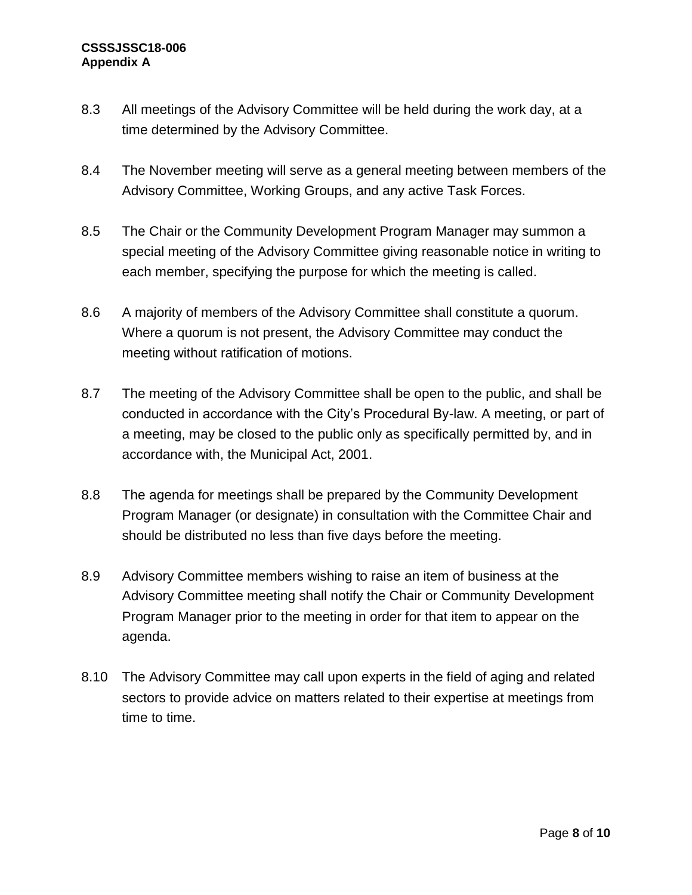- 8.3 All meetings of the Advisory Committee will be held during the work day, at a time determined by the Advisory Committee.
- 8.4 The November meeting will serve as a general meeting between members of the Advisory Committee, Working Groups, and any active Task Forces.
- 8.5 The Chair or the Community Development Program Manager may summon a special meeting of the Advisory Committee giving reasonable notice in writing to each member, specifying the purpose for which the meeting is called.
- 8.6 A majority of members of the Advisory Committee shall constitute a quorum. Where a quorum is not present, the Advisory Committee may conduct the meeting without ratification of motions.
- 8.7 The meeting of the Advisory Committee shall be open to the public, and shall be conducted in accordance with the City's Procedural By-law. A meeting, or part of a meeting, may be closed to the public only as specifically permitted by, and in accordance with, the Municipal Act, 2001.
- 8.8 The agenda for meetings shall be prepared by the Community Development Program Manager (or designate) in consultation with the Committee Chair and should be distributed no less than five days before the meeting.
- 8.9 Advisory Committee members wishing to raise an item of business at the Advisory Committee meeting shall notify the Chair or Community Development Program Manager prior to the meeting in order for that item to appear on the agenda.
- 8.10 The Advisory Committee may call upon experts in the field of aging and related sectors to provide advice on matters related to their expertise at meetings from time to time.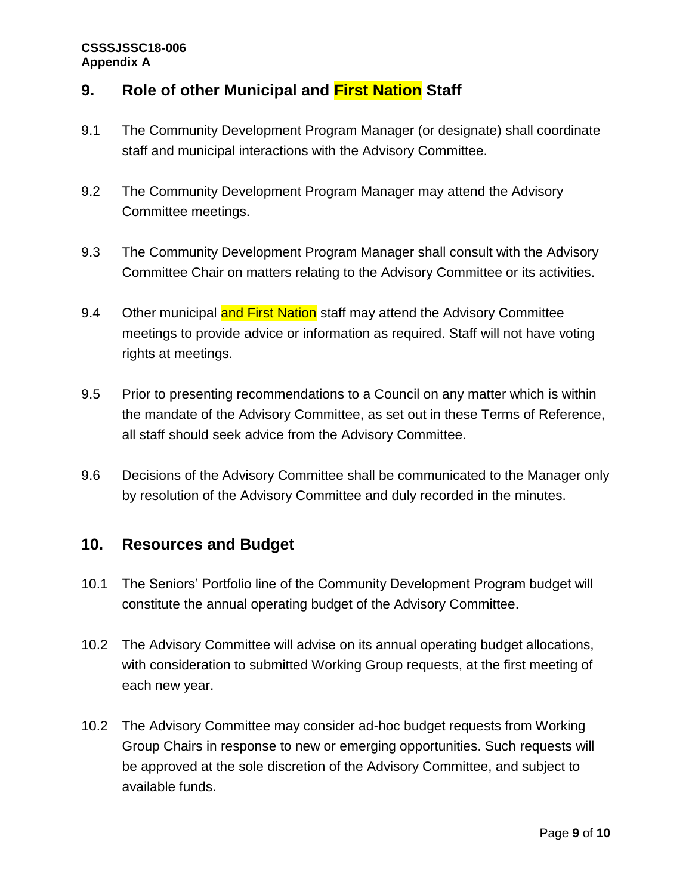# **9. Role of other Municipal and First Nation Staff**

- 9.1 The Community Development Program Manager (or designate) shall coordinate staff and municipal interactions with the Advisory Committee.
- 9.2 The Community Development Program Manager may attend the Advisory Committee meetings.
- 9.3 The Community Development Program Manager shall consult with the Advisory Committee Chair on matters relating to the Advisory Committee or its activities.
- 9.4 Other municipal and First Nation staff may attend the Advisory Committee meetings to provide advice or information as required. Staff will not have voting rights at meetings.
- 9.5 Prior to presenting recommendations to a Council on any matter which is within the mandate of the Advisory Committee, as set out in these Terms of Reference, all staff should seek advice from the Advisory Committee.
- 9.6 Decisions of the Advisory Committee shall be communicated to the Manager only by resolution of the Advisory Committee and duly recorded in the minutes.

## **10. Resources and Budget**

- 10.1 The Seniors' Portfolio line of the Community Development Program budget will constitute the annual operating budget of the Advisory Committee.
- 10.2 The Advisory Committee will advise on its annual operating budget allocations, with consideration to submitted Working Group requests, at the first meeting of each new year.
- 10.2 The Advisory Committee may consider ad-hoc budget requests from Working Group Chairs in response to new or emerging opportunities. Such requests will be approved at the sole discretion of the Advisory Committee, and subject to available funds.